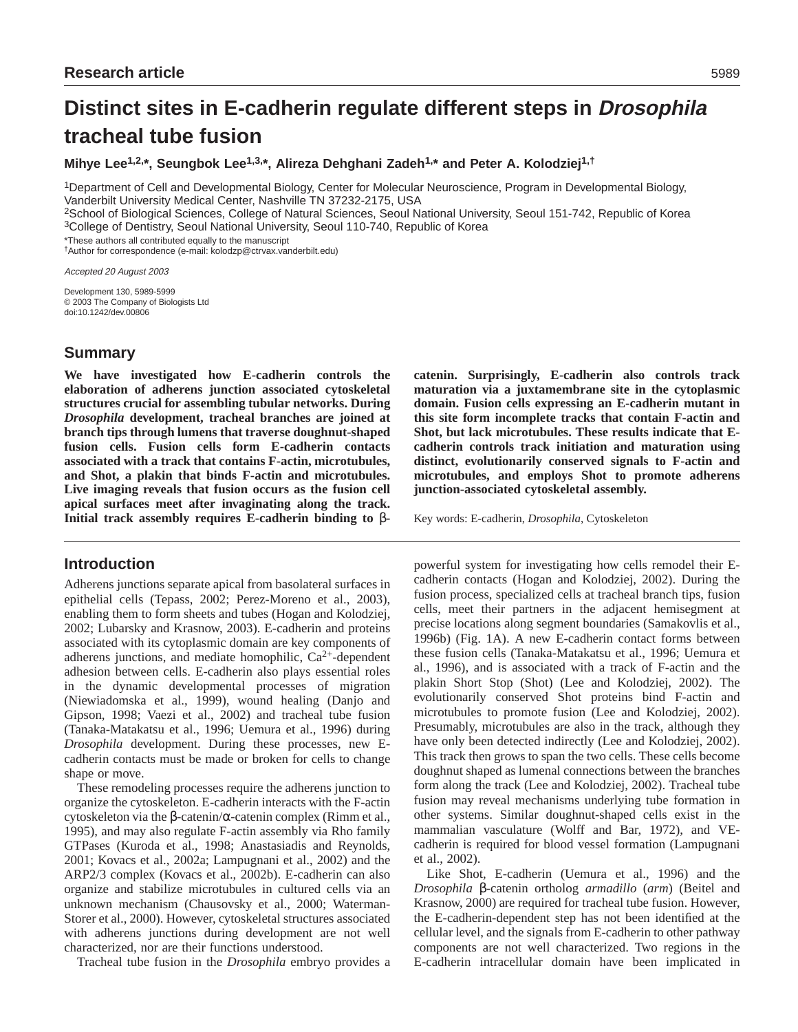# **Distinct sites in E-cadherin regulate different steps in Drosophila tracheal tube fusion**

**Mihye Lee1,2,\*, Seungbok Lee1,3,\*, Alireza Dehghani Zadeh1,\* and Peter A. Kolodziej1,†**

1Department of Cell and Developmental Biology, Center for Molecular Neuroscience, Program in Developmental Biology, Vanderbilt University Medical Center, Nashville TN 37232-2175, USA

2School of Biological Sciences, College of Natural Sciences, Seoul National University, Seoul 151-742, Republic of Korea

3College of Dentistry, Seoul National University, Seoul 110-740, Republic of Korea

\*These authors all contributed equally to the manuscript

†Author for correspondence (e-mail: kolodzp@ctrvax.vanderbilt.edu)

Accepted 20 August 2003

Development 130, 5989-5999 © 2003 The Company of Biologists Ltd doi:10.1242/dev.00806

# **Summary**

**We have investigated how E-cadherin controls the elaboration of adherens junction associated cytoskeletal structures crucial for assembling tubular networks. During** *Drosophila* **development, tracheal branches are joined at branch tips through lumens that traverse doughnut-shaped fusion cells. Fusion cells form E-cadherin contacts associated with a track that contains F-actin, microtubules, and Shot, a plakin that binds F-actin and microtubules. Live imaging reveals that fusion occurs as the fusion cell apical surfaces meet after invaginating along the track. Initial track assembly requires E-cadherin binding to** β**-**

# **Introduction**

Adherens junctions separate apical from basolateral surfaces in epithelial cells (Tepass, 2002; Perez-Moreno et al., 2003), enabling them to form sheets and tubes (Hogan and Kolodziej, 2002; Lubarsky and Krasnow, 2003). E-cadherin and proteins associated with its cytoplasmic domain are key components of adherens junctions, and mediate homophilic,  $Ca^{2+}$ -dependent adhesion between cells. E-cadherin also plays essential roles in the dynamic developmental processes of migration (Niewiadomska et al., 1999), wound healing (Danjo and Gipson, 1998; Vaezi et al., 2002) and tracheal tube fusion (Tanaka-Matakatsu et al., 1996; Uemura et al., 1996) during *Drosophila* development. During these processes, new Ecadherin contacts must be made or broken for cells to change shape or move.

These remodeling processes require the adherens junction to organize the cytoskeleton. E-cadherin interacts with the F-actin cytoskeleton via the β-catenin/α-catenin complex (Rimm et al., 1995), and may also regulate F-actin assembly via Rho family GTPases (Kuroda et al., 1998; Anastasiadis and Reynolds, 2001; Kovacs et al., 2002a; Lampugnani et al., 2002) and the ARP2/3 complex (Kovacs et al., 2002b). E-cadherin can also organize and stabilize microtubules in cultured cells via an unknown mechanism (Chausovsky et al., 2000; Waterman-Storer et al., 2000). However, cytoskeletal structures associated with adherens junctions during development are not well characterized, nor are their functions understood.

Tracheal tube fusion in the *Drosophila* embryo provides a

**catenin. Surprisingly, E-cadherin also controls track maturation via a juxtamembrane site in the cytoplasmic domain. Fusion cells expressing an E-cadherin mutant in this site form incomplete tracks that contain F-actin and Shot, but lack microtubules. These results indicate that Ecadherin controls track initiation and maturation using distinct, evolutionarily conserved signals to F-actin and microtubules, and employs Shot to promote adherens junction-associated cytoskeletal assembly.**

Key words: E-cadherin, *Drosophila*, Cytoskeleton

powerful system for investigating how cells remodel their Ecadherin contacts (Hogan and Kolodziej, 2002). During the fusion process, specialized cells at tracheal branch tips, fusion cells, meet their partners in the adjacent hemisegment at precise locations along segment boundaries (Samakovlis et al., 1996b) (Fig. 1A). A new E-cadherin contact forms between these fusion cells (Tanaka-Matakatsu et al., 1996; Uemura et al., 1996), and is associated with a track of F-actin and the plakin Short Stop (Shot) (Lee and Kolodziej, 2002). The evolutionarily conserved Shot proteins bind F-actin and microtubules to promote fusion (Lee and Kolodziej, 2002). Presumably, microtubules are also in the track, although they have only been detected indirectly (Lee and Kolodziej, 2002). This track then grows to span the two cells. These cells become doughnut shaped as lumenal connections between the branches form along the track (Lee and Kolodziej, 2002). Tracheal tube fusion may reveal mechanisms underlying tube formation in other systems. Similar doughnut-shaped cells exist in the mammalian vasculature (Wolff and Bar, 1972), and VEcadherin is required for blood vessel formation (Lampugnani et al., 2002).

Like Shot, E-cadherin (Uemura et al., 1996) and the *Drosophila* β-catenin ortholog *armadillo* (*arm*) (Beitel and Krasnow, 2000) are required for tracheal tube fusion. However, the E-cadherin-dependent step has not been identified at the cellular level, and the signals from E-cadherin to other pathway components are not well characterized. Two regions in the E-cadherin intracellular domain have been implicated in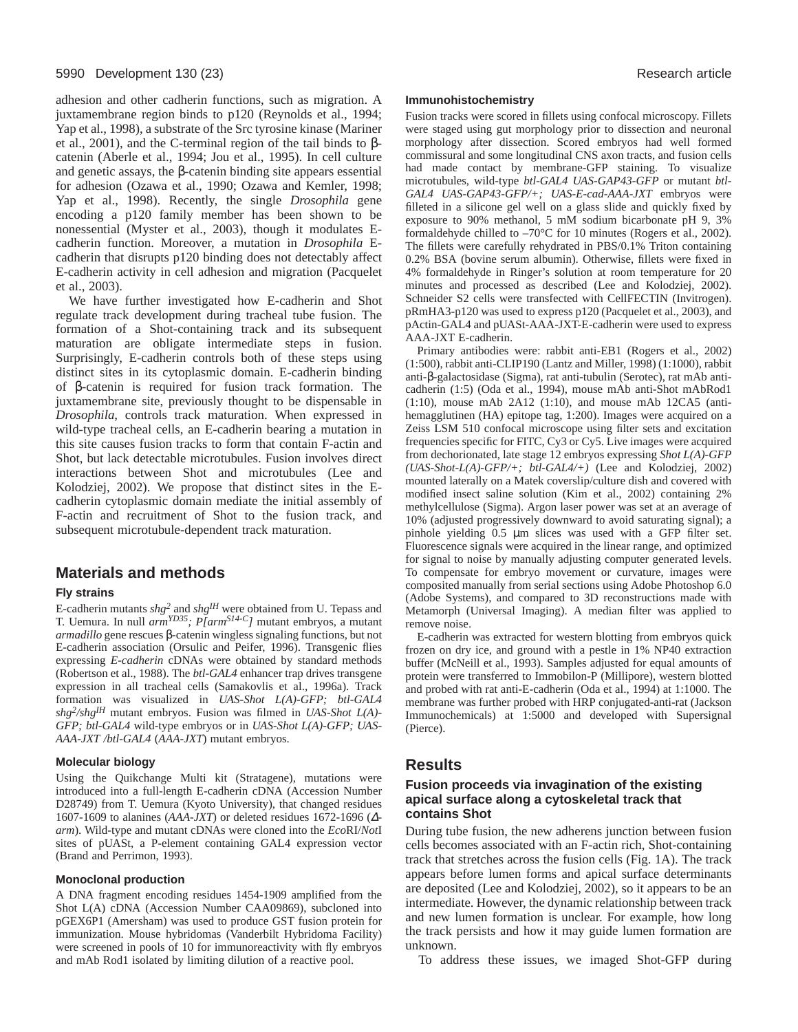adhesion and other cadherin functions, such as migration. A juxtamembrane region binds to p120 (Reynolds et al., 1994; Yap et al., 1998), a substrate of the Src tyrosine kinase (Mariner et al., 2001), and the C-terminal region of the tail binds to  $β$ catenin (Aberle et al., 1994; Jou et al., 1995). In cell culture and genetic assays, the β-catenin binding site appears essential for adhesion (Ozawa et al., 1990; Ozawa and Kemler, 1998; Yap et al., 1998). Recently, the single *Drosophila* gene encoding a p120 family member has been shown to be nonessential (Myster et al., 2003), though it modulates Ecadherin function. Moreover, a mutation in *Drosophila* Ecadherin that disrupts p120 binding does not detectably affect E-cadherin activity in cell adhesion and migration (Pacquelet et al., 2003).

We have further investigated how E-cadherin and Shot regulate track development during tracheal tube fusion. The formation of a Shot-containing track and its subsequent maturation are obligate intermediate steps in fusion. Surprisingly, E-cadherin controls both of these steps using distinct sites in its cytoplasmic domain. E-cadherin binding of β-catenin is required for fusion track formation. The juxtamembrane site, previously thought to be dispensable in *Drosophila*, controls track maturation. When expressed in wild-type tracheal cells, an E-cadherin bearing a mutation in this site causes fusion tracks to form that contain F-actin and Shot, but lack detectable microtubules. Fusion involves direct interactions between Shot and microtubules (Lee and Kolodziej, 2002). We propose that distinct sites in the Ecadherin cytoplasmic domain mediate the initial assembly of F-actin and recruitment of Shot to the fusion track, and subsequent microtubule-dependent track maturation.

# **Materials and methods**

### **Fly strains**

E-cadherin mutants *shg2* and *shgIH* were obtained from U. Tepass and T. Uemura. In null *armYD35; P[armS14-C]* mutant embryos, a mutant *armadillo* gene rescues β-catenin wingless signaling functions, but not E-cadherin association (Orsulic and Peifer, 1996). Transgenic flies expressing *E-cadherin* cDNAs were obtained by standard methods (Robertson et al., 1988). The *btl-GAL4* enhancer trap drives transgene expression in all tracheal cells (Samakovlis et al., 1996a). Track formation was visualized in *UAS-Shot L(A)-GFP; btl-GAL4 shg2/shgIH* mutant embryos. Fusion was filmed in *UAS-Shot L(A)- GFP; btl-GAL4* wild-type embryos or in *UAS-Shot L(A)-GFP; UAS-AAA-JXT /btl-GAL4* (*AAA-JXT*) mutant embryos.

#### **Molecular biology**

Using the Quikchange Multi kit (Stratagene), mutations were introduced into a full-length E-cadherin cDNA (Accession Number D28749) from T. Uemura (Kyoto University), that changed residues 1607-1609 to alanines (*AAA-JXT*) or deleted residues 1672-1696 (∆ *arm*). Wild-type and mutant cDNAs were cloned into the *Eco*RI/*Not*I sites of pUASt, a P-element containing GAL4 expression vector (Brand and Perrimon, 1993).

#### **Monoclonal production**

A DNA fragment encoding residues 1454-1909 amplified from the Shot L(A) cDNA (Accession Number CAA09869), subcloned into pGEX6P1 (Amersham) was used to produce GST fusion protein for immunization. Mouse hybridomas (Vanderbilt Hybridoma Facility) were screened in pools of 10 for immunoreactivity with fly embryos and mAb Rod1 isolated by limiting dilution of a reactive pool.

#### **Immunohistochemistry**

Fusion tracks were scored in fillets using confocal microscopy. Fillets were staged using gut morphology prior to dissection and neuronal morphology after dissection. Scored embryos had well formed commissural and some longitudinal CNS axon tracts, and fusion cells had made contact by membrane-GFP staining. To visualize microtubules, wild-type *btl-GAL4 UAS-GAP43-GFP* or mutant *btl-GAL4 UAS-GAP43-GFP/+; UAS-E-cad-AAA-JXT* embryos were filleted in a silicone gel well on a glass slide and quickly fixed by exposure to 90% methanol, 5 mM sodium bicarbonate pH 9, 3% formaldehyde chilled to –70°C for 10 minutes (Rogers et al., 2002). The fillets were carefully rehydrated in PBS/0.1% Triton containing 0.2% BSA (bovine serum albumin). Otherwise, fillets were fixed in 4% formaldehyde in Ringer's solution at room temperature for 20 minutes and processed as described (Lee and Kolodziej, 2002). Schneider S2 cells were transfected with CellFECTIN (Invitrogen). pRmHA3-p120 was used to express p120 (Pacquelet et al., 2003), and pActin-GAL4 and pUASt-AAA-JXT-E-cadherin were used to express AAA-JXT E-cadherin.

Primary antibodies were: rabbit anti-EB1 (Rogers et al., 2002) (1:500), rabbit anti-CLIP190 (Lantz and Miller, 1998) (1:1000), rabbit anti-β-galactosidase (Sigma), rat anti-tubulin (Serotec), rat mAb anticadherin (1:5) (Oda et al., 1994), mouse mAb anti-Shot mAbRod1 (1:10), mouse mAb 2A12 (1:10), and mouse mAb 12CA5 (antihemagglutinen (HA) epitope tag, 1:200). Images were acquired on a Zeiss LSM 510 confocal microscope using filter sets and excitation frequencies specific for FITC, Cy3 or Cy5. Live images were acquired from dechorionated, late stage 12 embryos expressing *Shot L(A)-GFP (UAS-Shot-L(A)-GFP/+; btl-GAL4/+)* (Lee and Kolodziej, 2002) mounted laterally on a Matek coverslip/culture dish and covered with modified insect saline solution (Kim et al., 2002) containing 2% methylcellulose (Sigma). Argon laser power was set at an average of 10% (adjusted progressively downward to avoid saturating signal); a pinhole yielding 0.5 µm slices was used with a GFP filter set. Fluorescence signals were acquired in the linear range, and optimized for signal to noise by manually adjusting computer generated levels. To compensate for embryo movement or curvature, images were composited manually from serial sections using Adobe Photoshop 6.0 (Adobe Systems), and compared to 3D reconstructions made with Metamorph (Universal Imaging). A median filter was applied to remove noise.

E-cadherin was extracted for western blotting from embryos quick frozen on dry ice, and ground with a pestle in 1% NP40 extraction buffer (McNeill et al., 1993). Samples adjusted for equal amounts of protein were transferred to Immobilon-P (Millipore), western blotted and probed with rat anti-E-cadherin (Oda et al., 1994) at 1:1000. The membrane was further probed with HRP conjugated-anti-rat (Jackson Immunochemicals) at 1:5000 and developed with Supersignal (Pierce).

# **Results**

# **Fusion proceeds via invagination of the existing apical surface along a cytoskeletal track that contains Shot**

During tube fusion, the new adherens junction between fusion cells becomes associated with an F-actin rich, Shot-containing track that stretches across the fusion cells (Fig. 1A). The track appears before lumen forms and apical surface determinants are deposited (Lee and Kolodziej, 2002), so it appears to be an intermediate. However, the dynamic relationship between track and new lumen formation is unclear. For example, how long the track persists and how it may guide lumen formation are unknown.

To address these issues, we imaged Shot-GFP during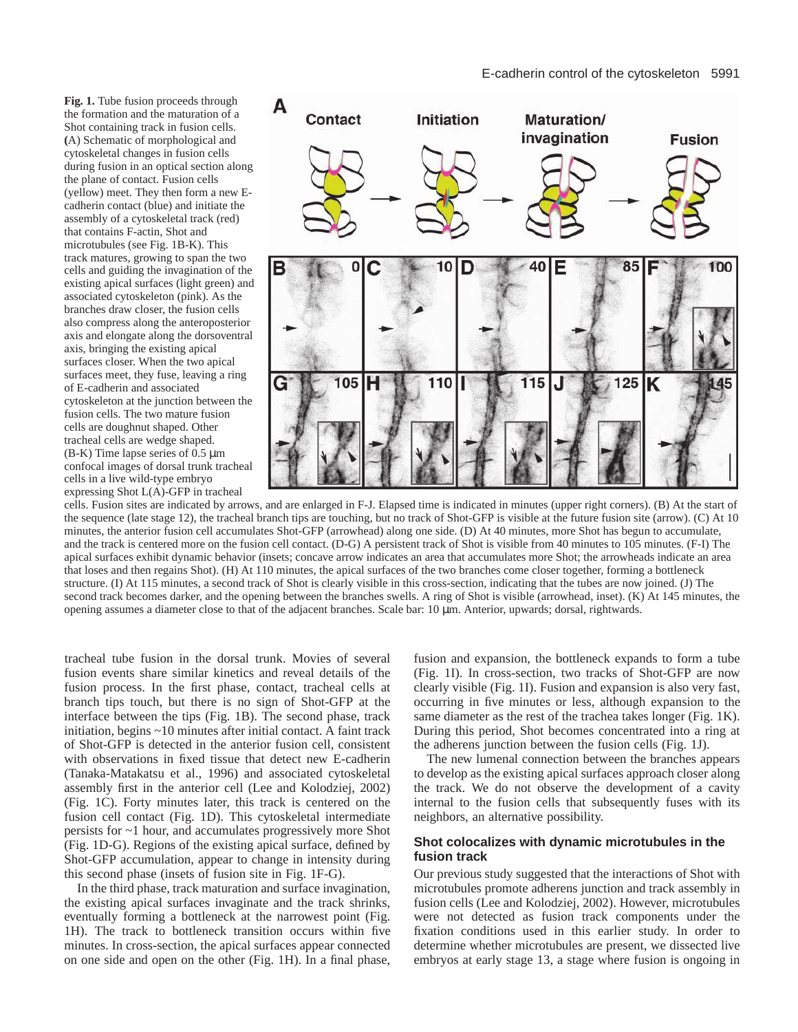**Fig. 1.** Tube fusion proceeds through the formation and the maturation of a Shot containing track in fusion cells. **(**A) Schematic of morphological and cytoskeletal changes in fusion cells during fusion in an optical section along the plane of contact. Fusion cells (yellow) meet. They then form a new Ecadherin contact (blue) and initiate the assembly of a cytoskeletal track (red) that contains F-actin, Shot and microtubules (see Fig. 1B-K). This track matures, growing to span the two cells and guiding the invagination of the existing apical surfaces (light green) and associated cytoskeleton (pink). As the branches draw closer, the fusion cells also compress along the anteroposterior axis and elongate along the dorsoventral axis, bringing the existing apical surfaces closer. When the two apical surfaces meet, they fuse, leaving a ring of E-cadherin and associated cytoskeleton at the junction between the fusion cells. The two mature fusion cells are doughnut shaped. Other tracheal cells are wedge shaped. (B-K) Time lapse series of  $0.5 \mu m$ confocal images of dorsal trunk tracheal cells in a live wild-type embryo expressing Shot L(A)-GFP in tracheal



cells. Fusion sites are indicated by arrows, and are enlarged in F-J. Elapsed time is indicated in minutes (upper right corners). (B) At the start of the sequence (late stage 12), the tracheal branch tips are touching, but no track of Shot-GFP is visible at the future fusion site (arrow). (C) At 10 minutes, the anterior fusion cell accumulates Shot-GFP (arrowhead) along one side. (D) At 40 minutes, more Shot has begun to accumulate, and the track is centered more on the fusion cell contact. (D-G) A persistent track of Shot is visible from 40 minutes to 105 minutes. (F-I) The apical surfaces exhibit dynamic behavior (insets; concave arrow indicates an area that accumulates more Shot; the arrowheads indicate an area that loses and then regains Shot). (H) At 110 minutes, the apical surfaces of the two branches come closer together, forming a bottleneck structure. (I) At 115 minutes, a second track of Shot is clearly visible in this cross-section, indicating that the tubes are now joined. (J) The second track becomes darker, and the opening between the branches swells. A ring of Shot is visible (arrowhead, inset). (K) At 145 minutes, the opening assumes a diameter close to that of the adjacent branches. Scale bar: 10 µm. Anterior, upwards; dorsal, rightwards.

tracheal tube fusion in the dorsal trunk. Movies of several fusion events share similar kinetics and reveal details of the fusion process. In the first phase, contact, tracheal cells at branch tips touch, but there is no sign of Shot-GFP at the interface between the tips (Fig. 1B). The second phase, track initiation, begins ~10 minutes after initial contact. A faint track of Shot-GFP is detected in the anterior fusion cell, consistent with observations in fixed tissue that detect new E-cadherin (Tanaka-Matakatsu et al., 1996) and associated cytoskeletal assembly first in the anterior cell (Lee and Kolodziej, 2002) (Fig. 1C). Forty minutes later, this track is centered on the fusion cell contact (Fig. 1D). This cytoskeletal intermediate persists for ~1 hour, and accumulates progressively more Shot (Fig. 1D-G). Regions of the existing apical surface, defined by Shot-GFP accumulation, appear to change in intensity during this second phase (insets of fusion site in Fig. 1F-G).

In the third phase, track maturation and surface invagination, the existing apical surfaces invaginate and the track shrinks, eventually forming a bottleneck at the narrowest point (Fig. 1H). The track to bottleneck transition occurs within five minutes. In cross-section, the apical surfaces appear connected on one side and open on the other (Fig. 1H). In a final phase, fusion and expansion, the bottleneck expands to form a tube (Fig. 1I). In cross-section, two tracks of Shot-GFP are now clearly visible (Fig. 1I). Fusion and expansion is also very fast, occurring in five minutes or less, although expansion to the same diameter as the rest of the trachea takes longer (Fig. 1K). During this period, Shot becomes concentrated into a ring at the adherens junction between the fusion cells (Fig. 1J).

The new lumenal connection between the branches appears to develop as the existing apical surfaces approach closer along the track. We do not observe the development of a cavity internal to the fusion cells that subsequently fuses with its neighbors, an alternative possibility.

# **Shot colocalizes with dynamic microtubules in the fusion track**

Our previous study suggested that the interactions of Shot with microtubules promote adherens junction and track assembly in fusion cells (Lee and Kolodziej, 2002). However, microtubules were not detected as fusion track components under the fixation conditions used in this earlier study. In order to determine whether microtubules are present, we dissected live embryos at early stage 13, a stage where fusion is ongoing in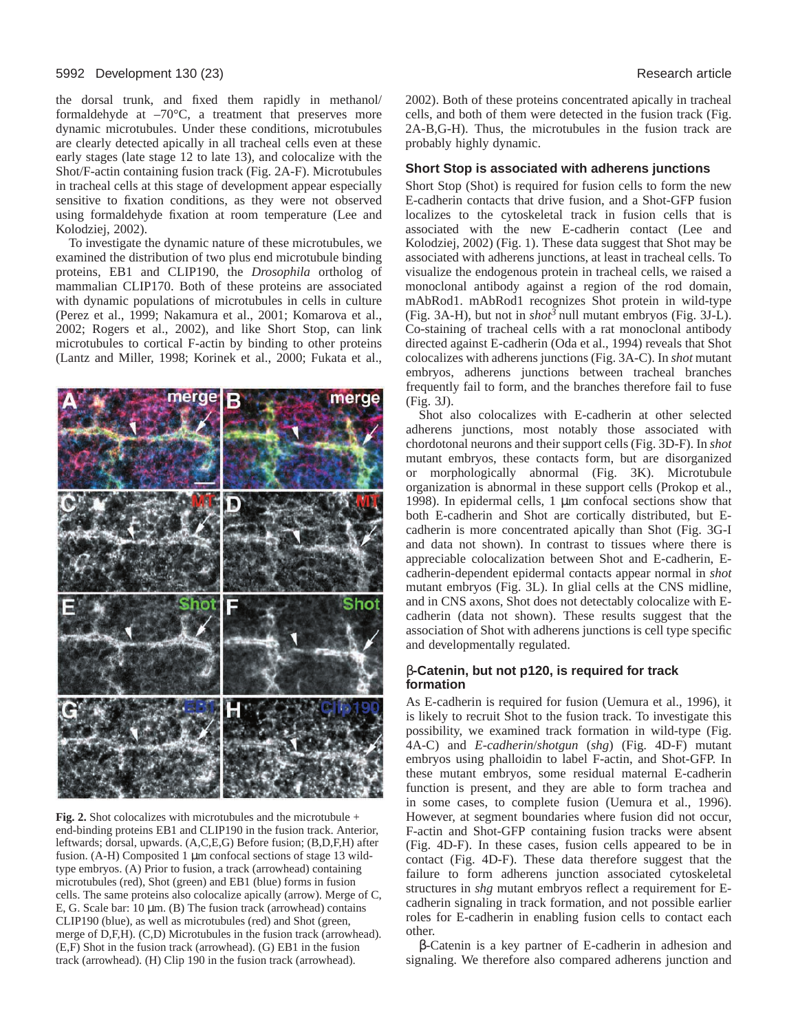#### 5992 Development 130 (23) Research article

the dorsal trunk, and fixed them rapidly in methanol/ formaldehyde at  $-70^{\circ}$ C, a treatment that preserves more dynamic microtubules. Under these conditions, microtubules are clearly detected apically in all tracheal cells even at these early stages (late stage 12 to late 13), and colocalize with the Shot/F-actin containing fusion track (Fig. 2A-F). Microtubules in tracheal cells at this stage of development appear especially sensitive to fixation conditions, as they were not observed using formaldehyde fixation at room temperature (Lee and Kolodziej, 2002).

To investigate the dynamic nature of these microtubules, we examined the distribution of two plus end microtubule binding proteins, EB1 and CLIP190, the *Drosophila* ortholog of mammalian CLIP170. Both of these proteins are associated with dynamic populations of microtubules in cells in culture (Perez et al., 1999; Nakamura et al., 2001; Komarova et al., 2002; Rogers et al., 2002), and like Short Stop, can link microtubules to cortical F-actin by binding to other proteins (Lantz and Miller, 1998; Korinek et al., 2000; Fukata et al.,



**Fig. 2.** Shot colocalizes with microtubules and the microtubule + end-binding proteins EB1 and CLIP190 in the fusion track. Anterior, leftwards; dorsal, upwards. (A,C,E,G) Before fusion; (B,D,F,H) after fusion. (A-H) Composited 1 µm confocal sections of stage 13 wildtype embryos. (A) Prior to fusion, a track (arrowhead) containing microtubules (red), Shot (green) and EB1 (blue) forms in fusion cells. The same proteins also colocalize apically (arrow). Merge of C, E, G. Scale bar:  $10 \mu m$ . (B) The fusion track (arrowhead) contains CLIP190 (blue), as well as microtubules (red) and Shot (green, merge of D,F,H). (C,D) Microtubules in the fusion track (arrowhead). (E,F) Shot in the fusion track (arrowhead). (G) EB1 in the fusion track (arrowhead). (H) Clip 190 in the fusion track (arrowhead).

2002). Both of these proteins concentrated apically in tracheal cells, and both of them were detected in the fusion track (Fig. 2A-B,G-H). Thus, the microtubules in the fusion track are probably highly dynamic.

#### **Short Stop is associated with adherens junctions**

Short Stop (Shot) is required for fusion cells to form the new E-cadherin contacts that drive fusion, and a Shot-GFP fusion localizes to the cytoskeletal track in fusion cells that is associated with the new E-cadherin contact (Lee and Kolodziej, 2002) (Fig. 1). These data suggest that Shot may be associated with adherens junctions, at least in tracheal cells. To visualize the endogenous protein in tracheal cells, we raised a monoclonal antibody against a region of the rod domain, mAbRod1. mAbRod1 recognizes Shot protein in wild-type (Fig. 3A-H), but not in *shot<sup>3</sup>* null mutant embryos (Fig. 3J-L). Co-staining of tracheal cells with a rat monoclonal antibody directed against E-cadherin (Oda et al., 1994) reveals that Shot colocalizes with adherens junctions (Fig. 3A-C). In *shot* mutant embryos, adherens junctions between tracheal branches frequently fail to form, and the branches therefore fail to fuse (Fig. 3J).

Shot also colocalizes with E-cadherin at other selected adherens junctions, most notably those associated with chordotonal neurons and their support cells (Fig. 3D-F). In *shot* mutant embryos, these contacts form, but are disorganized or morphologically abnormal (Fig. 3K). Microtubule organization is abnormal in these support cells (Prokop et al., 1998). In epidermal cells, 1  $\mu$ m confocal sections show that both E-cadherin and Shot are cortically distributed, but Ecadherin is more concentrated apically than Shot (Fig. 3G-I and data not shown). In contrast to tissues where there is appreciable colocalization between Shot and E-cadherin, Ecadherin-dependent epidermal contacts appear normal in *shot* mutant embryos (Fig. 3L). In glial cells at the CNS midline, and in CNS axons, Shot does not detectably colocalize with Ecadherin (data not shown). These results suggest that the association of Shot with adherens junctions is cell type specific and developmentally regulated.

## β**-Catenin, but not p120, is required for track formation**

As E-cadherin is required for fusion (Uemura et al., 1996), it is likely to recruit Shot to the fusion track. To investigate this possibility, we examined track formation in wild-type (Fig. 4A-C) and *E-cadherin*/*shotgun* (*shg*) (Fig. 4D-F) mutant embryos using phalloidin to label F-actin, and Shot-GFP. In these mutant embryos, some residual maternal E-cadherin function is present, and they are able to form trachea and in some cases, to complete fusion (Uemura et al., 1996). However, at segment boundaries where fusion did not occur, F-actin and Shot-GFP containing fusion tracks were absent (Fig. 4D-F). In these cases, fusion cells appeared to be in contact (Fig. 4D-F). These data therefore suggest that the failure to form adherens junction associated cytoskeletal structures in *shg* mutant embryos reflect a requirement for Ecadherin signaling in track formation, and not possible earlier roles for E-cadherin in enabling fusion cells to contact each other.

β-Catenin is a key partner of E-cadherin in adhesion and signaling. We therefore also compared adherens junction and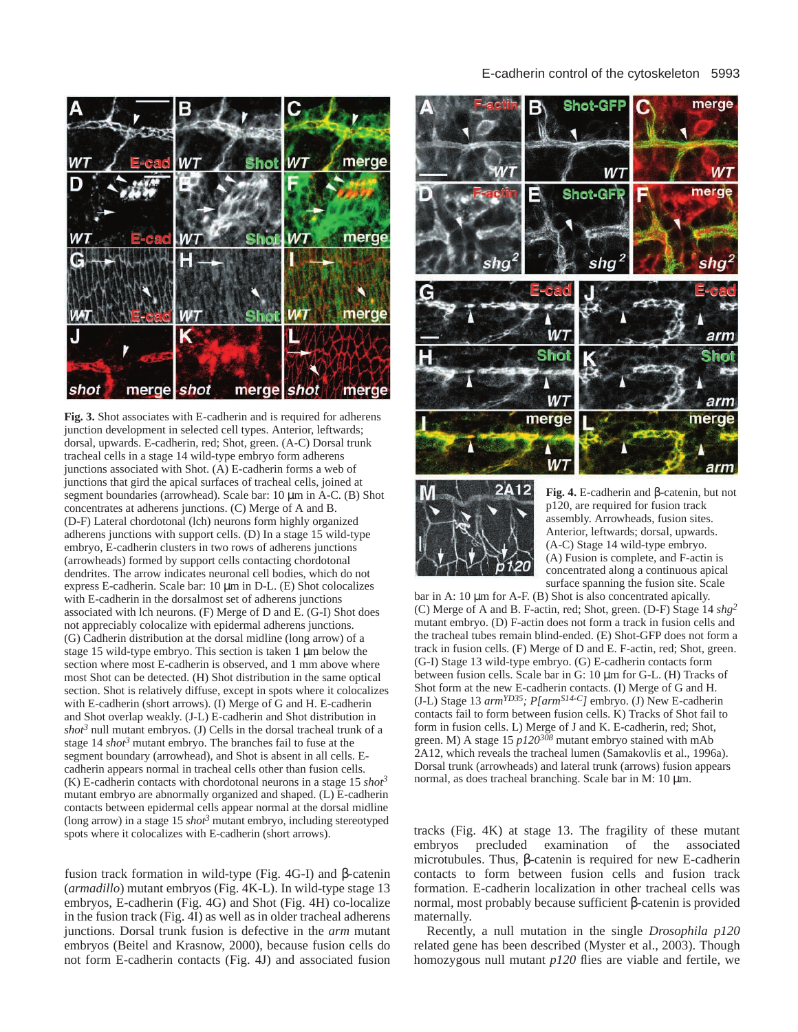

**Fig. 3.** Shot associates with E-cadherin and is required for adherens junction development in selected cell types. Anterior, leftwards; dorsal, upwards. E-cadherin, red; Shot, green. (A-C) Dorsal trunk tracheal cells in a stage 14 wild-type embryo form adherens junctions associated with Shot. (A) E-cadherin forms a web of junctions that gird the apical surfaces of tracheal cells, joined at segment boundaries (arrowhead). Scale bar: 10  $\mu$ m in A-C. (B) Shot concentrates at adherens junctions. (C) Merge of A and B. (D-F) Lateral chordotonal (lch) neurons form highly organized adherens junctions with support cells. (D) In a stage 15 wild-type embryo, E-cadherin clusters in two rows of adherens junctions (arrowheads) formed by support cells contacting chordotonal dendrites. The arrow indicates neuronal cell bodies, which do not express E-cadherin. Scale bar: 10 µm in D-L. (E) Shot colocalizes with E-cadherin in the dorsalmost set of adherens junctions associated with lch neurons. (F) Merge of D and E. (G-I) Shot does not appreciably colocalize with epidermal adherens junctions. (G) Cadherin distribution at the dorsal midline (long arrow) of a stage 15 wild-type embryo. This section is taken 1 µm below the section where most E-cadherin is observed, and 1 mm above where most Shot can be detected. (H) Shot distribution in the same optical section. Shot is relatively diffuse, except in spots where it colocalizes with E-cadherin (short arrows). (I) Merge of G and H. E-cadherin and Shot overlap weakly. (J-L) E-cadherin and Shot distribution in *shot<sup>3</sup>* null mutant embryos. (J) Cells in the dorsal tracheal trunk of a stage 14 *shot<sup>3</sup>* mutant embryo. The branches fail to fuse at the segment boundary (arrowhead), and Shot is absent in all cells. Ecadherin appears normal in tracheal cells other than fusion cells. (K) E-cadherin contacts with chordotonal neurons in a stage 15 *shot<sup>3</sup>* mutant embryo are abnormally organized and shaped. (L) E-cadherin contacts between epidermal cells appear normal at the dorsal midline (long arrow) in a stage 15  $shot<sup>3</sup>$  mutant embryo, including stereotyped spots where it colocalizes with E-cadherin (short arrows).

fusion track formation in wild-type (Fig. 4G-I) and β-catenin (*armadillo*) mutant embryos (Fig. 4K-L). In wild-type stage 13 embryos, E-cadherin (Fig. 4G) and Shot (Fig. 4H) co-localize in the fusion track (Fig. 4I) as well as in older tracheal adherens junctions. Dorsal trunk fusion is defective in the *arm* mutant embryos (Beitel and Krasnow, 2000), because fusion cells do not form E-cadherin contacts (Fig. 4J) and associated fusion

## E-cadherin control of the cytoskeleton 5993





**Fig. 4.** E-cadherin and β-catenin, but not p120, are required for fusion track assembly. Arrowheads, fusion sites. Anterior, leftwards; dorsal, upwards. (A-C) Stage 14 wild-type embryo. (A) Fusion is complete, and F-actin is concentrated along a continuous apical surface spanning the fusion site. Scale

bar in A: 10  $\mu$ m for A-F. (B) Shot is also concentrated apically. (C) Merge of A and B. F-actin, red; Shot, green. (D-F) Stage 14 *shg2* mutant embryo. (D) F-actin does not form a track in fusion cells and the tracheal tubes remain blind-ended. (E) Shot-GFP does not form a track in fusion cells. (F) Merge of D and E. F-actin, red; Shot, green. (G-I) Stage 13 wild-type embryo. (G) E-cadherin contacts form between fusion cells. Scale bar in G: 10 µm for G-L. (H) Tracks of Shot form at the new E-cadherin contacts. (I) Merge of G and H. (J-L) Stage 13 *armYD35; P[armS14-C]* embryo. (J) New E-cadherin contacts fail to form between fusion cells. K) Tracks of Shot fail to form in fusion cells. L) Merge of J and K. E-cadherin, red; Shot, green. M) A stage  $15 \frac{p120^{308}}{200}$  mutant embryo stained with mAb 2A12, which reveals the tracheal lumen (Samakovlis et al., 1996a). Dorsal trunk (arrowheads) and lateral trunk (arrows) fusion appears normal, as does tracheal branching. Scale bar in M: 10 µm.

tracks (Fig. 4K) at stage 13. The fragility of these mutant embryos precluded examination of the associated microtubules. Thus, β-catenin is required for new E-cadherin contacts to form between fusion cells and fusion track formation. E-cadherin localization in other tracheal cells was normal, most probably because sufficient β-catenin is provided maternally.

Recently, a null mutation in the single *Drosophila p120* related gene has been described (Myster et al., 2003). Though homozygous null mutant *p120* flies are viable and fertile, we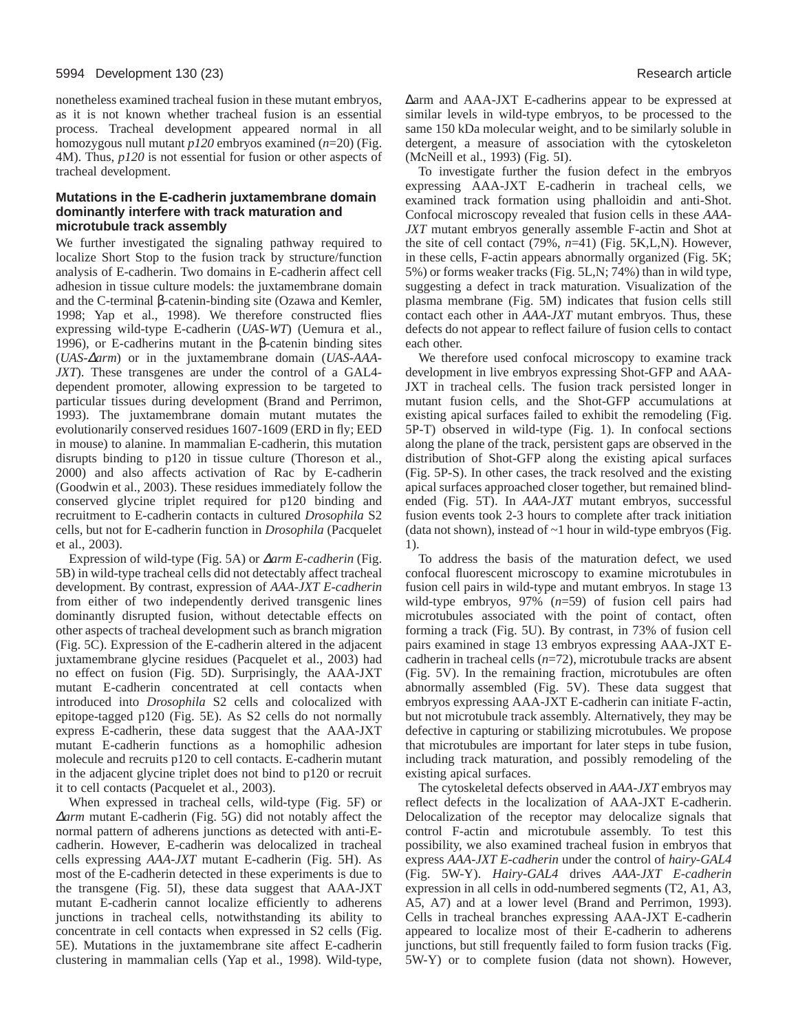nonetheless examined tracheal fusion in these mutant embryos, as it is not known whether tracheal fusion is an essential process. Tracheal development appeared normal in all homozygous null mutant *p120* embryos examined (*n*=20) (Fig. 4M). Thus, *p120* is not essential for fusion or other aspects of tracheal development.

# **Mutations in the E-cadherin juxtamembrane domain dominantly interfere with track maturation and microtubule track assembly**

We further investigated the signaling pathway required to localize Short Stop to the fusion track by structure/function analysis of E-cadherin. Two domains in E-cadherin affect cell adhesion in tissue culture models: the juxtamembrane domain and the C-terminal β-catenin-binding site (Ozawa and Kemler, 1998; Yap et al., 1998). We therefore constructed flies expressing wild-type E-cadherin (*UAS-WT*) (Uemura et al., 1996), or E-cadherins mutant in the β-catenin binding sites (*UAS-*∆*arm*) or in the juxtamembrane domain (*UAS-AAA-JXT*). These transgenes are under the control of a GAL4 dependent promoter, allowing expression to be targeted to particular tissues during development (Brand and Perrimon, 1993). The juxtamembrane domain mutant mutates the evolutionarily conserved residues 1607-1609 (ERD in fly; EED in mouse) to alanine. In mammalian E-cadherin, this mutation disrupts binding to p120 in tissue culture (Thoreson et al., 2000) and also affects activation of Rac by E-cadherin (Goodwin et al., 2003). These residues immediately follow the conserved glycine triplet required for p120 binding and recruitment to E-cadherin contacts in cultured *Drosophila* S2 cells, but not for E-cadherin function in *Drosophila* (Pacquelet et al., 2003).

Expression of wild-type (Fig. 5A) or ∆*arm E-cadherin* (Fig. 5B) in wild-type tracheal cells did not detectably affect tracheal development. By contrast, expression of *AAA-JXT E-cadherin* from either of two independently derived transgenic lines dominantly disrupted fusion, without detectable effects on other aspects of tracheal development such as branch migration (Fig. 5C). Expression of the E-cadherin altered in the adjacent juxtamembrane glycine residues (Pacquelet et al., 2003) had no effect on fusion (Fig. 5D). Surprisingly, the AAA-JXT mutant E-cadherin concentrated at cell contacts when introduced into *Drosophila* S2 cells and colocalized with epitope-tagged p120 (Fig. 5E). As S2 cells do not normally express E-cadherin, these data suggest that the AAA-JXT mutant E-cadherin functions as a homophilic adhesion molecule and recruits p120 to cell contacts. E-cadherin mutant in the adjacent glycine triplet does not bind to p120 or recruit it to cell contacts (Pacquelet et al., 2003).

When expressed in tracheal cells, wild-type (Fig. 5F) or <sup>∆</sup>*arm* mutant E-cadherin (Fig. 5G) did not notably affect the normal pattern of adherens junctions as detected with anti-Ecadherin. However, E-cadherin was delocalized in tracheal cells expressing *AAA-JXT* mutant E-cadherin (Fig. 5H). As most of the E-cadherin detected in these experiments is due to the transgene (Fig. 5I), these data suggest that AAA-JXT mutant E-cadherin cannot localize efficiently to adherens junctions in tracheal cells, notwithstanding its ability to concentrate in cell contacts when expressed in S2 cells (Fig. 5E). Mutations in the juxtamembrane site affect E-cadherin clustering in mammalian cells (Yap et al., 1998). Wild-type,

∆arm and AAA-JXT E-cadherins appear to be expressed at similar levels in wild-type embryos, to be processed to the same 150 kDa molecular weight, and to be similarly soluble in detergent, a measure of association with the cytoskeleton (McNeill et al., 1993) (Fig. 5I).

To investigate further the fusion defect in the embryos expressing AAA-JXT E-cadherin in tracheal cells, we examined track formation using phalloidin and anti-Shot. Confocal microscopy revealed that fusion cells in these *AAA-JXT* mutant embryos generally assemble F-actin and Shot at the site of cell contact (79%, *n*=41) (Fig. 5K,L,N). However, in these cells, F-actin appears abnormally organized (Fig. 5K; 5%) or forms weaker tracks (Fig. 5L,N; 74%) than in wild type, suggesting a defect in track maturation. Visualization of the plasma membrane (Fig. 5M) indicates that fusion cells still contact each other in *AAA-JXT* mutant embryos. Thus, these defects do not appear to reflect failure of fusion cells to contact each other.

We therefore used confocal microscopy to examine track development in live embryos expressing Shot-GFP and AAA-JXT in tracheal cells. The fusion track persisted longer in mutant fusion cells, and the Shot-GFP accumulations at existing apical surfaces failed to exhibit the remodeling (Fig. 5P-T) observed in wild-type (Fig. 1). In confocal sections along the plane of the track, persistent gaps are observed in the distribution of Shot-GFP along the existing apical surfaces (Fig. 5P-S). In other cases, the track resolved and the existing apical surfaces approached closer together, but remained blindended (Fig. 5T). In *AAA-JXT* mutant embryos, successful fusion events took 2-3 hours to complete after track initiation (data not shown), instead of ~1 hour in wild-type embryos (Fig. 1).

To address the basis of the maturation defect, we used confocal fluorescent microscopy to examine microtubules in fusion cell pairs in wild-type and mutant embryos. In stage 13 wild-type embryos, 97% (*n*=59) of fusion cell pairs had microtubules associated with the point of contact, often forming a track (Fig. 5U). By contrast, in 73% of fusion cell pairs examined in stage 13 embryos expressing AAA-JXT Ecadherin in tracheal cells (*n*=72), microtubule tracks are absent (Fig. 5V). In the remaining fraction, microtubules are often abnormally assembled (Fig. 5V). These data suggest that embryos expressing AAA-JXT E-cadherin can initiate F-actin, but not microtubule track assembly. Alternatively, they may be defective in capturing or stabilizing microtubules. We propose that microtubules are important for later steps in tube fusion, including track maturation, and possibly remodeling of the existing apical surfaces.

The cytoskeletal defects observed in *AAA-JXT* embryos may reflect defects in the localization of AAA-JXT E-cadherin. Delocalization of the receptor may delocalize signals that control F-actin and microtubule assembly. To test this possibility, we also examined tracheal fusion in embryos that express *AAA-JXT E-cadherin* under the control of *hairy-GAL4* (Fig. 5W-Y). *Hairy-GAL4* drives *AAA-JXT E-cadherin* expression in all cells in odd-numbered segments (T2, A1, A3, A5, A7) and at a lower level (Brand and Perrimon, 1993). Cells in tracheal branches expressing AAA-JXT E-cadherin appeared to localize most of their E-cadherin to adherens junctions, but still frequently failed to form fusion tracks (Fig. 5W-Y) or to complete fusion (data not shown). However,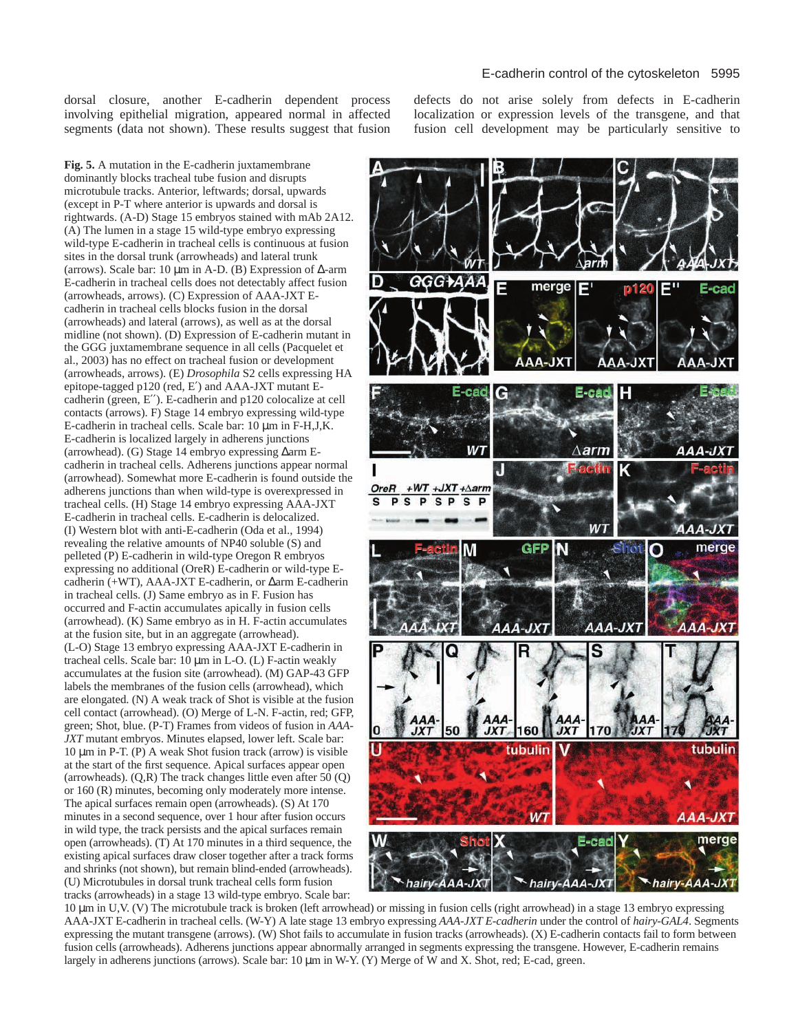dorsal closure, another E-cadherin dependent process involving epithelial migration, appeared normal in affected segments (data not shown). These results suggest that fusion defects do not arise solely from defects in E-cadherin localization or expression levels of the transgene, and that fusion cell development may be particularly sensitive to

**Fig. 5.** A mutation in the E-cadherin juxtamembrane dominantly blocks tracheal tube fusion and disrupts microtubule tracks. Anterior, leftwards; dorsal, upwards (except in P-T where anterior is upwards and dorsal is rightwards. (A-D) Stage 15 embryos stained with mAb 2A12. (A) The lumen in a stage 15 wild-type embryo expressing wild-type E-cadherin in tracheal cells is continuous at fusion sites in the dorsal trunk (arrowheads) and lateral trunk (arrows). Scale bar: 10 µm in A-D. (B) Expression of ∆-arm E-cadherin in tracheal cells does not detectably affect fusion (arrowheads, arrows). (C) Expression of AAA-JXT Ecadherin in tracheal cells blocks fusion in the dorsal (arrowheads) and lateral (arrows), as well as at the dorsal midline (not shown). (D) Expression of E-cadherin mutant in the GGG juxtamembrane sequence in all cells (Pacquelet et al., 2003) has no effect on tracheal fusion or development (arrowheads, arrows). (E) *Drosophila* S2 cells expressing HA epitope-tagged p120 (red, E′) and AAA-JXT mutant Ecadherin (green, E′′). E-cadherin and p120 colocalize at cell contacts (arrows). F) Stage 14 embryo expressing wild-type E-cadherin in tracheal cells. Scale bar: 10 µm in F-H,J,K. E-cadherin is localized largely in adherens junctions (arrowhead). (G) Stage 14 embryo expressing ∆arm Ecadherin in tracheal cells. Adherens junctions appear normal (arrowhead). Somewhat more E-cadherin is found outside the adherens junctions than when wild-type is overexpressed in tracheal cells. (H) Stage 14 embryo expressing AAA-JXT E-cadherin in tracheal cells. E-cadherin is delocalized. (I) Western blot with anti-E-cadherin (Oda et al., 1994) revealing the relative amounts of NP40 soluble (S) and pelleted (P) E-cadherin in wild-type Oregon R embryos expressing no additional (OreR) E-cadherin or wild-type Ecadherin (+WT), AAA-JXT E-cadherin, or ∆arm E-cadherin in tracheal cells. (J) Same embryo as in F. Fusion has occurred and F-actin accumulates apically in fusion cells (arrowhead). (K) Same embryo as in H. F-actin accumulates at the fusion site, but in an aggregate (arrowhead). (L-O) Stage 13 embryo expressing AAA-JXT E-cadherin in tracheal cells. Scale bar:  $10 \mu m$  in L-O. (L) F-actin weakly accumulates at the fusion site (arrowhead). (M) GAP-43 GFP labels the membranes of the fusion cells (arrowhead), which are elongated. (N) A weak track of Shot is visible at the fusion cell contact (arrowhead). (O) Merge of L-N. F-actin, red; GFP, green; Shot, blue. (P-T) Frames from videos of fusion in *AAA-JXT* mutant embryos. Minutes elapsed, lower left. Scale bar:  $10 \mu m$  in P-T. (P) A weak Shot fusion track (arrow) is visible at the start of the first sequence. Apical surfaces appear open (arrowheads). (Q,R) The track changes little even after 50 (Q) or 160 (R) minutes, becoming only moderately more intense. The apical surfaces remain open (arrowheads). (S) At 170 minutes in a second sequence, over 1 hour after fusion occurs in wild type, the track persists and the apical surfaces remain open (arrowheads). (T) At 170 minutes in a third sequence, the existing apical surfaces draw closer together after a track forms and shrinks (not shown), but remain blind-ended (arrowheads). (U) Microtubules in dorsal trunk tracheal cells form fusion tracks (arrowheads) in a stage 13 wild-type embryo. Scale bar:



10 µm in U,V. (V) The microtubule track is broken (left arrowhead) or missing in fusion cells (right arrowhead) in a stage 13 embryo expressing AAA-JXT E-cadherin in tracheal cells. (W-Y) A late stage 13 embryo expressing *AAA-JXT E-cadherin* under the control of *hairy-GAL4*. Segments expressing the mutant transgene (arrows). (W) Shot fails to accumulate in fusion tracks (arrowheads). (X) E-cadherin contacts fail to form between fusion cells (arrowheads). Adherens junctions appear abnormally arranged in segments expressing the transgene. However, E-cadherin remains largely in adherens junctions (arrows). Scale bar: 10  $\mu$ m in W-Y. (Y) Merge of W and X. Shot, red; E-cad, green.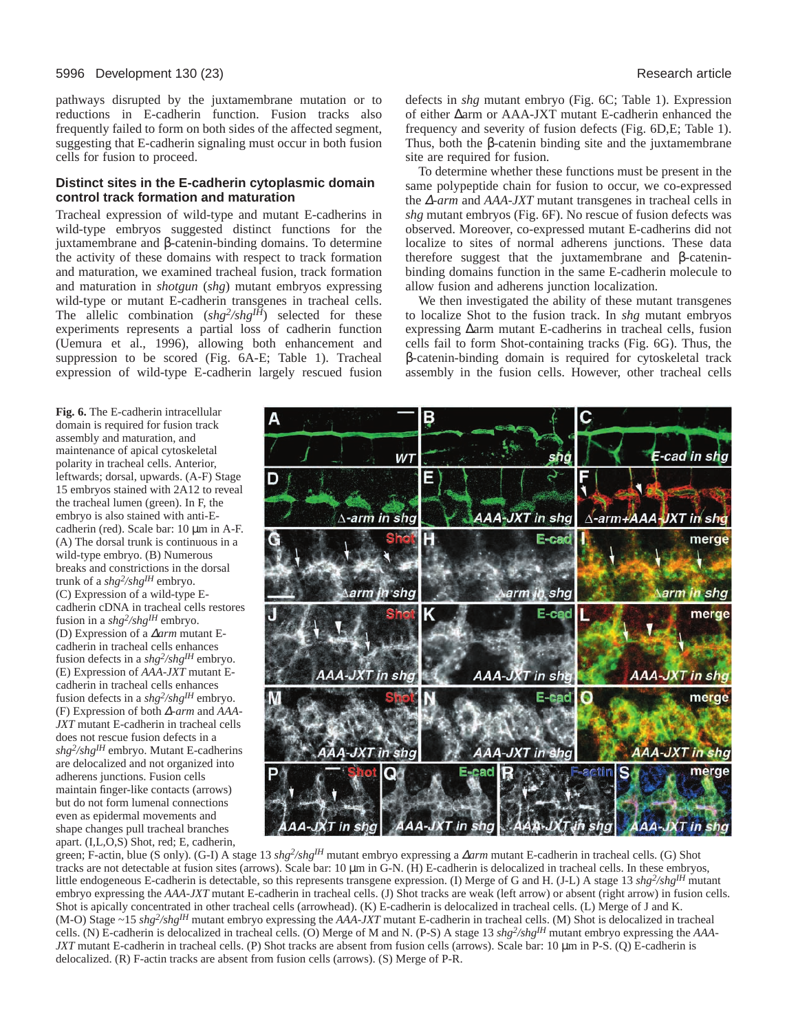## 5996 Development 130 (23) Research article

pathways disrupted by the juxtamembrane mutation or to reductions in E-cadherin function. Fusion tracks also frequently failed to form on both sides of the affected segment, suggesting that E-cadherin signaling must occur in both fusion cells for fusion to proceed.

## **Distinct sites in the E-cadherin cytoplasmic domain control track formation and maturation**

Tracheal expression of wild-type and mutant E-cadherins in wild-type embryos suggested distinct functions for the juxtamembrane and β-catenin-binding domains. To determine the activity of these domains with respect to track formation and maturation, we examined tracheal fusion, track formation and maturation in *shotgun* (*shg*) mutant embryos expressing wild-type or mutant E-cadherin transgenes in tracheal cells. The allelic combination (*shg2/shgIH*) selected for these experiments represents a partial loss of cadherin function (Uemura et al., 1996), allowing both enhancement and suppression to be scored (Fig. 6A-E; Table 1). Tracheal expression of wild-type E-cadherin largely rescued fusion

defects in *shg* mutant embryo (Fig. 6C; Table 1). Expression of either ∆arm or AAA-JXT mutant E-cadherin enhanced the frequency and severity of fusion defects (Fig. 6D,E; Table 1). Thus, both the β-catenin binding site and the juxtamembrane site are required for fusion.

To determine whether these functions must be present in the same polypeptide chain for fusion to occur, we co-expressed the ∆*-arm* and *AAA-JXT* mutant transgenes in tracheal cells in *shg* mutant embryos (Fig. 6F). No rescue of fusion defects was observed. Moreover, co-expressed mutant E-cadherins did not localize to sites of normal adherens junctions. These data therefore suggest that the juxtamembrane and β-cateninbinding domains function in the same E-cadherin molecule to allow fusion and adherens junction localization.

We then investigated the ability of these mutant transgenes to localize Shot to the fusion track. In *shg* mutant embryos expressing ∆arm mutant E-cadherins in tracheal cells, fusion cells fail to form Shot-containing tracks (Fig. 6G). Thus, the β-catenin-binding domain is required for cytoskeletal track assembly in the fusion cells. However, other tracheal cells

**Fig. 6.** The E-cadherin intracellular domain is required for fusion track assembly and maturation, and maintenance of apical cytoskeletal polarity in tracheal cells. Anterior, leftwards; dorsal, upwards. (A-F) Stage 15 embryos stained with 2A12 to reveal the tracheal lumen (green). In F, the embryo is also stained with anti-Ecadherin (red). Scale bar: 10 µm in A-F. (A) The dorsal trunk is continuous in a wild-type embryo. (B) Numerous breaks and constrictions in the dorsal trunk of a *shg2/shgIH* embryo. (C) Expression of a wild-type Ecadherin cDNA in tracheal cells restores fusion in a *shg2/shgIH* embryo. (D) Expression of a ∆*arm* mutant Ecadherin in tracheal cells enhances fusion defects in a *shg2/shgIH* embryo. (E) Expression of *AAA-JXT* mutant Ecadherin in tracheal cells enhances fusion defects in a *shg2/shgIH* embryo. (F) Expression of both ∆*-arm* and *AAA-JXT* mutant E-cadherin in tracheal cells does not rescue fusion defects in a *shg2/shgIH* embryo. Mutant E-cadherins are delocalized and not organized into adherens junctions. Fusion cells maintain finger-like contacts (arrows) but do not form lumenal connections even as epidermal movements and shape changes pull tracheal branches apart. (I,L,O,S) Shot, red; E, cadherin,



green; F-actin, blue (S only). (G-I) A stage 13 *shg2/shgIH* mutant embryo expressing a ∆*arm* mutant E-cadherin in tracheal cells. (G) Shot tracks are not detectable at fusion sites (arrows). Scale bar: 10 µm in G-N. (H) E-cadherin is delocalized in tracheal cells. In these embryos, little endogeneous E-cadherin is detectable, so this represents transgene expression. (I) Merge of G and H. (J-L) A stage 13 *shg2/shgIH* mutant embryo expressing the *AAA-JXT* mutant E-cadherin in tracheal cells. (J) Shot tracks are weak (left arrow) or absent (right arrow) in fusion cells. Shot is apically concentrated in other tracheal cells (arrowhead). (K) E-cadherin is delocalized in tracheal cells. (L) Merge of J and K. (M-O) Stage ~15 *shg2/shgIH* mutant embryo expressing the *AAA-JXT* mutant E-cadherin in tracheal cells. (M) Shot is delocalized in tracheal cells. (N) E-cadherin is delocalized in tracheal cells. (O) Merge of M and N. (P-S) A stage 13 *shg2/shgIH* mutant embryo expressing the *AAA-JXT* mutant E-cadherin in tracheal cells. (P) Shot tracks are absent from fusion cells (arrows). Scale bar: 10  $\mu$ m in P-S. (Q) E-cadherin is delocalized. (R) F-actin tracks are absent from fusion cells (arrows). (S) Merge of P-R.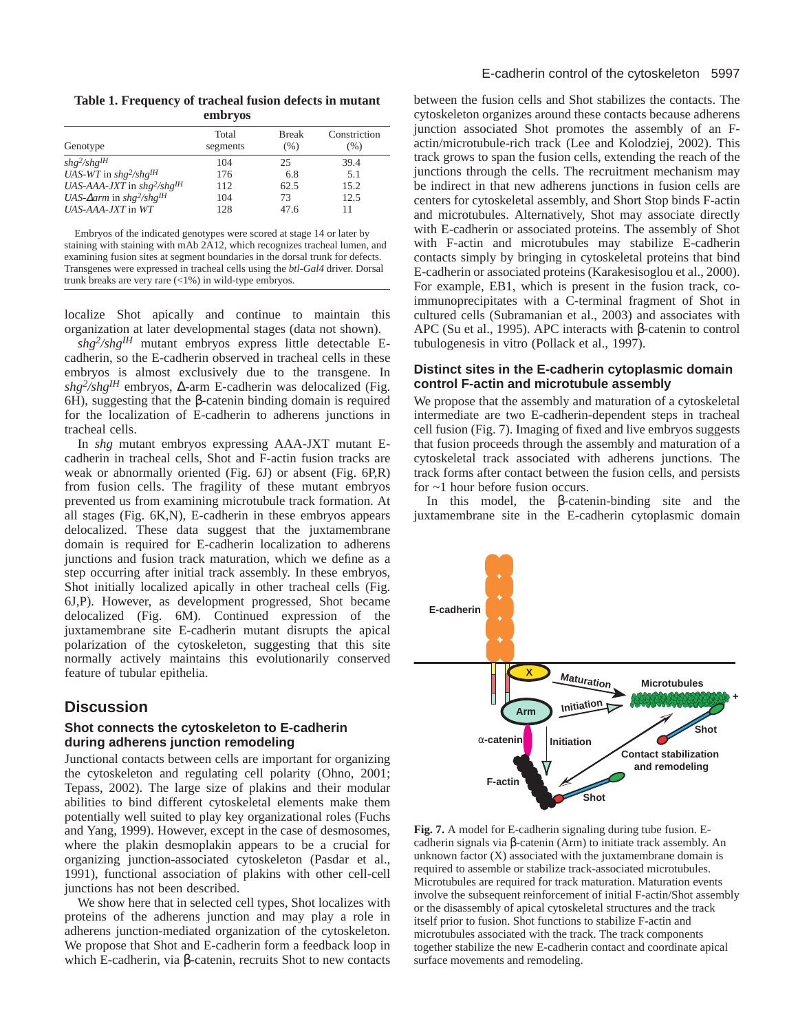**Table 1. Frequency of tracheal fusion defects in mutant embryos**

| Genotype                                                 | Total<br>segments | <b>Break</b><br>(% ) | Constriction<br>(% ) |
|----------------------------------------------------------|-------------------|----------------------|----------------------|
| $shg^2/shg^{IH}$                                         | 104               | 25                   | 39.4                 |
| UAS-WT in $shg^2/shg^{IH}$                               | 176               | 6.8                  | 5.1                  |
| UAS-AAA-JXT in $shg^2/shg^{IH}$                          | 112               | 62.5                 | 15.2                 |
| UAS- $\Delta$ arm in shg <sup>2</sup> /shg <sup>IH</sup> | 104               | 73                   | 12.5                 |
| $UAS$ -AAA-JXT in WT                                     | 128               | 47.6                 | 11                   |

Embryos of the indicated genotypes were scored at stage 14 or later by staining with staining with mAb 2A12, which recognizes tracheal lumen, and examining fusion sites at segment boundaries in the dorsal trunk for defects. Transgenes were expressed in tracheal cells using the *btl-Gal4* driver. Dorsal trunk breaks are very rare (<1%) in wild-type embryos.

localize Shot apically and continue to maintain this organization at later developmental stages (data not shown).

*shg2/shgIH* mutant embryos express little detectable Ecadherin, so the E-cadherin observed in tracheal cells in these embryos is almost exclusively due to the transgene. In *shg2/shgIH* embryos, ∆-arm E-cadherin was delocalized (Fig. 6H), suggesting that the β-catenin binding domain is required for the localization of E-cadherin to adherens junctions in tracheal cells.

In *shg* mutant embryos expressing AAA-JXT mutant Ecadherin in tracheal cells, Shot and F-actin fusion tracks are weak or abnormally oriented (Fig. 6J) or absent (Fig. 6P,R) from fusion cells. The fragility of these mutant embryos prevented us from examining microtubule track formation. At all stages (Fig. 6K,N), E-cadherin in these embryos appears delocalized. These data suggest that the juxtamembrane domain is required for E-cadherin localization to adherens junctions and fusion track maturation, which we define as a step occurring after initial track assembly. In these embryos, Shot initially localized apically in other tracheal cells (Fig. 6J,P). However, as development progressed, Shot became delocalized (Fig. 6M). Continued expression of the juxtamembrane site E-cadherin mutant disrupts the apical polarization of the cytoskeleton, suggesting that this site normally actively maintains this evolutionarily conserved feature of tubular epithelia.

# **Discussion**

# **Shot connects the cytoskeleton to E-cadherin during adherens junction remodeling**

Junctional contacts between cells are important for organizing the cytoskeleton and regulating cell polarity (Ohno, 2001; Tepass, 2002). The large size of plakins and their modular abilities to bind different cytoskeletal elements make them potentially well suited to play key organizational roles (Fuchs and Yang, 1999). However, except in the case of desmosomes, where the plakin desmoplakin appears to be a crucial for organizing junction-associated cytoskeleton (Pasdar et al., 1991), functional association of plakins with other cell-cell junctions has not been described.

We show here that in selected cell types, Shot localizes with proteins of the adherens junction and may play a role in adherens junction-mediated organization of the cytoskeleton. We propose that Shot and E-cadherin form a feedback loop in which E-cadherin, via β-catenin, recruits Shot to new contacts

between the fusion cells and Shot stabilizes the contacts. The cytoskeleton organizes around these contacts because adherens junction associated Shot promotes the assembly of an Factin/microtubule-rich track (Lee and Kolodziej, 2002). This track grows to span the fusion cells, extending the reach of the junctions through the cells. The recruitment mechanism may be indirect in that new adherens junctions in fusion cells are centers for cytoskeletal assembly, and Short Stop binds F-actin and microtubules. Alternatively, Shot may associate directly with E-cadherin or associated proteins. The assembly of Shot with F-actin and microtubules may stabilize E-cadherin contacts simply by bringing in cytoskeletal proteins that bind E-cadherin or associated proteins (Karakesisoglou et al., 2000). For example, EB1, which is present in the fusion track, coimmunoprecipitates with a C-terminal fragment of Shot in cultured cells (Subramanian et al., 2003) and associates with APC (Su et al., 1995). APC interacts with β-catenin to control tubulogenesis in vitro (Pollack et al., 1997).

# **Distinct sites in the E-cadherin cytoplasmic domain control F-actin and microtubule assembly**

We propose that the assembly and maturation of a cytoskeletal intermediate are two E-cadherin-dependent steps in tracheal cell fusion (Fig. 7). Imaging of fixed and live embryos suggests that fusion proceeds through the assembly and maturation of a cytoskeletal track associated with adherens junctions. The track forms after contact between the fusion cells, and persists for ~1 hour before fusion occurs.

In this model, the β-catenin-binding site and the juxtamembrane site in the E-cadherin cytoplasmic domain



**Fig. 7.** A model for E-cadherin signaling during tube fusion. Ecadherin signals via β-catenin (Arm) to initiate track assembly. An unknown factor  $(X)$  associated with the juxtamembrane domain is required to assemble or stabilize track-associated microtubules. Microtubules are required for track maturation. Maturation events involve the subsequent reinforcement of initial F-actin/Shot assembly or the disassembly of apical cytoskeletal structures and the track itself prior to fusion. Shot functions to stabilize F-actin and microtubules associated with the track. The track components together stabilize the new E-cadherin contact and coordinate apical surface movements and remodeling.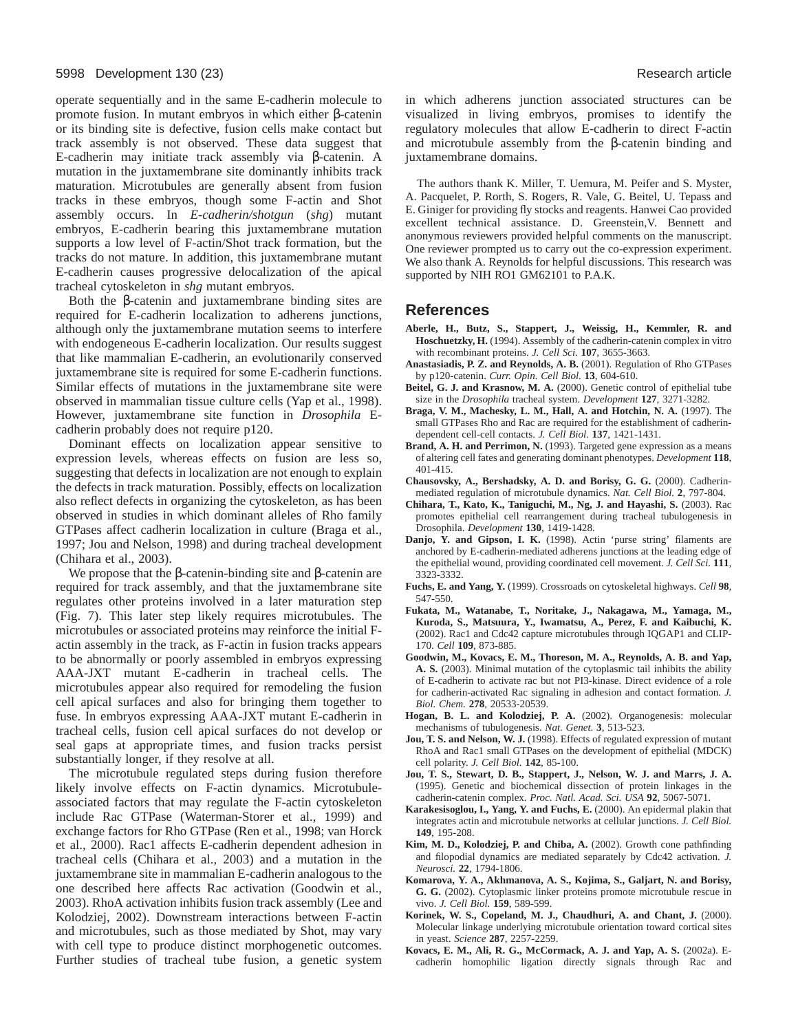#### 5998 Development 130 (23) Research article

operate sequentially and in the same E-cadherin molecule to promote fusion. In mutant embryos in which either β-catenin or its binding site is defective, fusion cells make contact but track assembly is not observed. These data suggest that E-cadherin may initiate track assembly via β-catenin. A mutation in the juxtamembrane site dominantly inhibits track maturation. Microtubules are generally absent from fusion tracks in these embryos, though some F-actin and Shot assembly occurs. In *E-cadherin/shotgun* (*shg*) mutant embryos, E-cadherin bearing this juxtamembrane mutation supports a low level of F-actin/Shot track formation, but the tracks do not mature. In addition, this juxtamembrane mutant E-cadherin causes progressive delocalization of the apical tracheal cytoskeleton in *shg* mutant embryos.

Both the β-catenin and juxtamembrane binding sites are required for E-cadherin localization to adherens junctions, although only the juxtamembrane mutation seems to interfere with endogeneous E-cadherin localization. Our results suggest that like mammalian E-cadherin, an evolutionarily conserved juxtamembrane site is required for some E-cadherin functions. Similar effects of mutations in the juxtamembrane site were observed in mammalian tissue culture cells (Yap et al., 1998). However, juxtamembrane site function in *Drosophila* Ecadherin probably does not require p120.

Dominant effects on localization appear sensitive to expression levels, whereas effects on fusion are less so, suggesting that defects in localization are not enough to explain the defects in track maturation. Possibly, effects on localization also reflect defects in organizing the cytoskeleton, as has been observed in studies in which dominant alleles of Rho family GTPases affect cadherin localization in culture (Braga et al., 1997; Jou and Nelson, 1998) and during tracheal development (Chihara et al., 2003).

We propose that the  $β$ -catenin-binding site and  $β$ -catenin are required for track assembly, and that the juxtamembrane site regulates other proteins involved in a later maturation step (Fig. 7). This later step likely requires microtubules. The microtubules or associated proteins may reinforce the initial Factin assembly in the track, as F-actin in fusion tracks appears to be abnormally or poorly assembled in embryos expressing AAA-JXT mutant E-cadherin in tracheal cells. The microtubules appear also required for remodeling the fusion cell apical surfaces and also for bringing them together to fuse. In embryos expressing AAA-JXT mutant E-cadherin in tracheal cells, fusion cell apical surfaces do not develop or seal gaps at appropriate times, and fusion tracks persist substantially longer, if they resolve at all.

The microtubule regulated steps during fusion therefore likely involve effects on F-actin dynamics. Microtubuleassociated factors that may regulate the F-actin cytoskeleton include Rac GTPase (Waterman-Storer et al., 1999) and exchange factors for Rho GTPase (Ren et al., 1998; van Horck et al., 2000). Rac1 affects E-cadherin dependent adhesion in tracheal cells (Chihara et al., 2003) and a mutation in the juxtamembrane site in mammalian E-cadherin analogous to the one described here affects Rac activation (Goodwin et al., 2003). RhoA activation inhibits fusion track assembly (Lee and Kolodziej, 2002). Downstream interactions between F-actin and microtubules, such as those mediated by Shot, may vary with cell type to produce distinct morphogenetic outcomes. Further studies of tracheal tube fusion, a genetic system in which adherens junction associated structures can be visualized in living embryos, promises to identify the regulatory molecules that allow E-cadherin to direct F-actin and microtubule assembly from the β-catenin binding and juxtamembrane domains.

The authors thank K. Miller, T. Uemura, M. Peifer and S. Myster, A. Pacquelet, P. Rorth, S. Rogers, R. Vale, G. Beitel, U. Tepass and E. Giniger for providing fly stocks and reagents. Hanwei Cao provided excellent technical assistance. D. Greenstein,V. Bennett and anonymous reviewers provided helpful comments on the manuscript. One reviewer prompted us to carry out the co-expression experiment. We also thank A. Reynolds for helpful discussions. This research was supported by NIH RO1 GM62101 to P.A.K.

# **References**

- **Aberle, H., Butz, S., Stappert, J., Weissig, H., Kemmler, R. and Hoschuetzky, H.** (1994). Assembly of the cadherin-catenin complex in vitro with recombinant proteins. *J. Cell Sci.* **107**, 3655-3663.
- **Anastasiadis, P. Z. and Reynolds, A. B.** (2001). Regulation of Rho GTPases by p120-catenin. *Curr. Opin. Cell Biol.* **13**, 604-610.
- Beitel, G. J. and Krasnow, M. A. (2000). Genetic control of epithelial tube size in the *Drosophila* tracheal system. *Development* **127**, 3271-3282.
- **Braga, V. M., Machesky, L. M., Hall, A. and Hotchin, N. A.** (1997). The small GTPases Rho and Rac are required for the establishment of cadherindependent cell-cell contacts. *J. Cell Biol.* **137**, 1421-1431.
- Brand, A. H. and Perrimon, N. (1993). Targeted gene expression as a means of altering cell fates and generating dominant phenotypes. *Development* **118**, 401-415.
- **Chausovsky, A., Bershadsky, A. D. and Borisy, G. G.** (2000). Cadherinmediated regulation of microtubule dynamics. *Nat. Cell Biol.* **2**, 797-804.
- **Chihara, T., Kato, K., Taniguchi, M., Ng, J. and Hayashi, S.** (2003). Rac promotes epithelial cell rearrangement during tracheal tubulogenesis in Drosophila. *Development* **130**, 1419-1428.
- Danjo, Y. and Gipson, I. K. (1998). Actin 'purse string' filaments are anchored by E-cadherin-mediated adherens junctions at the leading edge of the epithelial wound, providing coordinated cell movement. *J. Cell Sci.* **111**, 3323-3332.
- **Fuchs, E. and Yang, Y.** (1999). Crossroads on cytoskeletal highways. *Cell* **98**, 547-550.
- **Fukata, M., Watanabe, T., Noritake, J., Nakagawa, M., Yamaga, M., Kuroda, S., Matsuura, Y., Iwamatsu, A., Perez, F. and Kaibuchi, K.** (2002). Rac1 and Cdc42 capture microtubules through IQGAP1 and CLIP-170. *Cell* **109**, 873-885.
- **Goodwin, M., Kovacs, E. M., Thoreson, M. A., Reynolds, A. B. and Yap, A. S.** (2003). Minimal mutation of the cytoplasmic tail inhibits the ability of E-cadherin to activate rac but not PI3-kinase. Direct evidence of a role for cadherin-activated Rac signaling in adhesion and contact formation. *J. Biol. Chem.* **278**, 20533-20539.
- **Hogan, B. L. and Kolodziej, P. A.** (2002). Organogenesis: molecular mechanisms of tubulogenesis. *Nat. Genet.* **3**, 513-523.
- **Jou, T. S. and Nelson, W. J.** (1998). Effects of regulated expression of mutant RhoA and Rac1 small GTPases on the development of epithelial (MDCK) cell polarity. *J. Cell Biol.* **142**, 85-100.
- **Jou, T. S., Stewart, D. B., Stappert, J., Nelson, W. J. and Marrs, J. A.** (1995). Genetic and biochemical dissection of protein linkages in the cadherin-catenin complex. *Proc. Natl. Acad. Sci. USA* **92**, 5067-5071.
- **Karakesisoglou, I., Yang, Y. and Fuchs, E.** (2000). An epidermal plakin that integrates actin and microtubule networks at cellular junctions. *J. Cell Biol.* **149**, 195-208.
- **Kim, M. D., Kolodziej, P. and Chiba, A.** (2002). Growth cone pathfinding and filopodial dynamics are mediated separately by Cdc42 activation. *J. Neurosci.* **22**, 1794-1806.
- **Komarova, Y. A., Akhmanova, A. S., Kojima, S., Galjart, N. and Borisy, G. G.** (2002). Cytoplasmic linker proteins promote microtubule rescue in vivo. *J. Cell Biol.* **159**, 589-599.
- Korinek, W. S., Copeland, M. J., Chaudhuri, A. and Chant, J. (2000). Molecular linkage underlying microtubule orientation toward cortical sites in yeast. *Science* **287**, 2257-2259.
- **Kovacs, E. M., Ali, R. G., McCormack, A. J. and Yap, A. S.** (2002a). Ecadherin homophilic ligation directly signals through Rac and